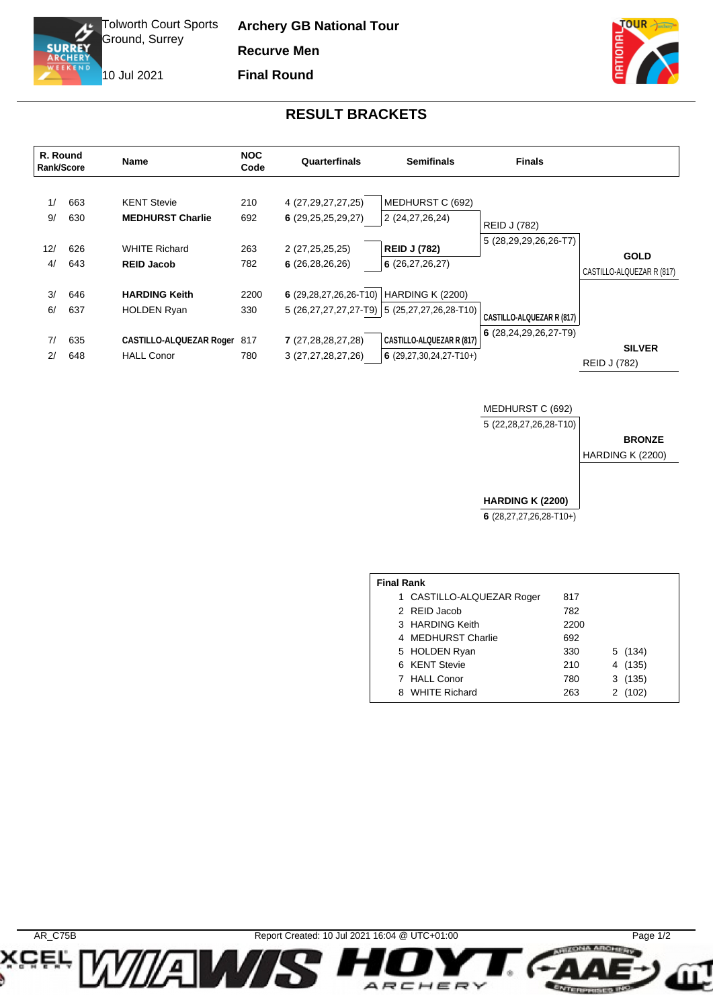

**Archery GB National Tour Recurve Men Final Round**

10 Jul 2021



## **RESULT BRACKETS**

| R. Round<br>Rank/Score |            | Name                                             | <b>NOC</b><br>Code | Quarterfinals                            | <b>Semifinals</b>                                                   | <b>Finals</b>                    |                                          |
|------------------------|------------|--------------------------------------------------|--------------------|------------------------------------------|---------------------------------------------------------------------|----------------------------------|------------------------------------------|
| 1/<br>9/               | 663<br>630 | <b>KENT Stevie</b><br><b>MEDHURST Charlie</b>    | 210<br>692         | 4 (27,29,27,27,25)<br>6(29,25,25,29,27)  | MEDHURST C (692)<br>2 (24, 27, 26, 24)                              | <b>REID J (782)</b>              |                                          |
| 12/<br>4/              | 626<br>643 | <b>WHITE Richard</b><br><b>REID Jacob</b>        | 263<br>782         | 2 (27,25,25,25)<br>6(26, 28, 26, 26)     | <b>REID J (782)</b><br>6(26, 27, 26, 27)                            | 5 (28,29,29,26,26-T7)            | <b>GOLD</b><br>CASTILLO-ALQUEZAR R (817) |
| 3/<br>6/               | 646<br>637 | <b>HARDING Keith</b><br><b>HOLDEN Ryan</b>       | 2200<br>330        | 6 (29,28,27,26,26-T10)                   | HARDING K (2200)<br>$5(26,27,27,27,27-T9)$ 5 $(25,27,27,26,28-T10)$ | <b>CASTILLO-ALQUEZAR R (817)</b> |                                          |
| 7/<br>2/               | 635<br>648 | CASTILLO-ALQUEZAR Roger 817<br><b>HALL Conor</b> | 780                | 7 (27,28,28,27,28)<br>3 (27,27,28,27,26) | CASTILLO-ALQUEZAR R (817)<br>6 $(29, 27, 30, 24, 27 - T10+)$        | $6(28, 24, 29, 26, 27 - T9)$     | <b>SILVER</b><br>REID J (782)            |

MEDHURST C (692)

5 (22,28,27,26,28-T10)

**BRONZE**

HARDING K (2200)

**HARDING K (2200)**

**6** (28,27,27,26,28-T10+)

| <b>Final Rank</b><br>1 CASTILLO-ALQUEZAR Roger<br>817<br>2 REID Jacob<br>782<br>3 HARDING Keith<br>2200<br>4 MEDHURST Charlie<br>692 |     |         |  |  |
|--------------------------------------------------------------------------------------------------------------------------------------|-----|---------|--|--|
|                                                                                                                                      |     |         |  |  |
|                                                                                                                                      |     |         |  |  |
|                                                                                                                                      |     |         |  |  |
|                                                                                                                                      |     |         |  |  |
| 5 HOLDEN Ryan                                                                                                                        | 330 | 5 (134) |  |  |
| 6 KENT Stevie                                                                                                                        | 210 | 4 (135) |  |  |
| 7 HALL Conor                                                                                                                         | 780 | 3(135)  |  |  |
| 8 WHITE Richard                                                                                                                      | 263 | 2(102)  |  |  |